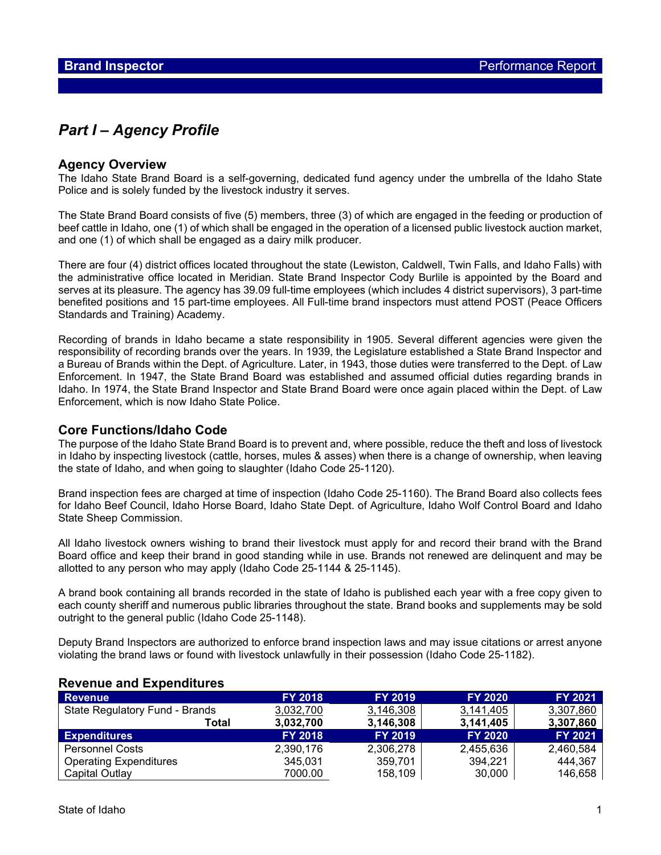## *Part I – Agency Profile*

#### **Agency Overview**

The Idaho State Brand Board is a self-governing, dedicated fund agency under the umbrella of the Idaho State Police and is solely funded by the livestock industry it serves.

The State Brand Board consists of five (5) members, three (3) of which are engaged in the feeding or production of beef cattle in Idaho, one (1) of which shall be engaged in the operation of a licensed public livestock auction market, and one (1) of which shall be engaged as a dairy milk producer.

There are four (4) district offices located throughout the state (Lewiston, Caldwell, Twin Falls, and Idaho Falls) with the administrative office located in Meridian. State Brand Inspector Cody Burlile is appointed by the Board and serves at its pleasure. The agency has 39.09 full-time employees (which includes 4 district supervisors), 3 part-time benefited positions and 15 part-time employees. All Full-time brand inspectors must attend POST (Peace Officers Standards and Training) Academy.

Recording of brands in Idaho became a state responsibility in 1905. Several different agencies were given the responsibility of recording brands over the years. In 1939, the Legislature established a State Brand Inspector and a Bureau of Brands within the Dept. of Agriculture. Later, in 1943, those duties were transferred to the Dept. of Law Enforcement. In 1947, the State Brand Board was established and assumed official duties regarding brands in Idaho. In 1974, the State Brand Inspector and State Brand Board were once again placed within the Dept. of Law Enforcement, which is now Idaho State Police.

#### **Core Functions/Idaho Code**

The purpose of the Idaho State Brand Board is to prevent and, where possible, reduce the theft and loss of livestock in Idaho by inspecting livestock (cattle, horses, mules & asses) when there is a change of ownership, when leaving the state of Idaho, and when going to slaughter (Idaho Code 25-1120).

Brand inspection fees are charged at time of inspection (Idaho Code 25-1160). The Brand Board also collects fees for Idaho Beef Council, Idaho Horse Board, Idaho State Dept. of Agriculture, Idaho Wolf Control Board and Idaho State Sheep Commission.

All Idaho livestock owners wishing to brand their livestock must apply for and record their brand with the Brand Board office and keep their brand in good standing while in use. Brands not renewed are delinquent and may be allotted to any person who may apply (Idaho Code 25-1144 & 25-1145).

A brand book containing all brands recorded in the state of Idaho is published each year with a free copy given to each county sheriff and numerous public libraries throughout the state. Brand books and supplements may be sold outright to the general public (Idaho Code 25-1148).

Deputy Brand Inspectors are authorized to enforce brand inspection laws and may issue citations or arrest anyone violating the brand laws or found with livestock unlawfully in their possession (Idaho Code 25-1182).

### **Revenue FY 2018 FY 2019 FY 2020 FY 2021** State Regulatory Fund - Brands 3,032,700 3,146,308 3,141,405 3,307,860<br>
Total 3,032,700 3,146,308 3,141,405 3,307,860 **Total 3,032,700 3,146,308 3,141,405 3,307,860 Expenditures FY 2018 FY 2019 FY 2020 FY 2021** Personnel Costs 2,390,176 2,306,278 2,455,636 2,460,584 Operating Expenditures 345,031 359,701 394,221 444,367 Capital Outlay 7000.00 158,109 30,000 146,658

#### **Revenue and Expenditures**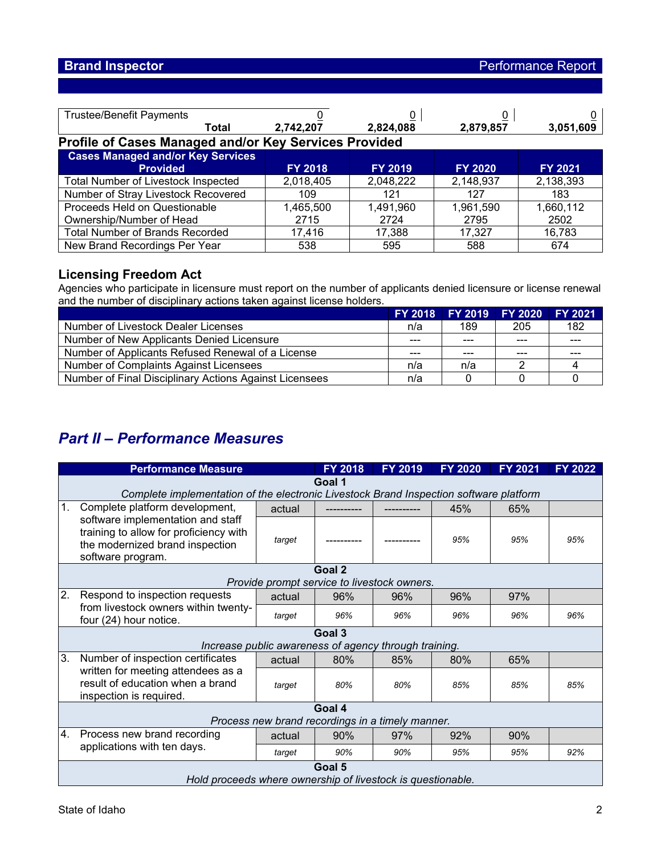| <b>Trustee/Benefit Payments</b>                             |                | 0              | 0              |           |  |  |  |  |
|-------------------------------------------------------------|----------------|----------------|----------------|-----------|--|--|--|--|
| Total                                                       | 2,742,207      | 2,824,088      | 2,879,857      | 3,051,609 |  |  |  |  |
| Profile of Cases Managed and/or Key Services Provided       |                |                |                |           |  |  |  |  |
| <b>Cases Managed and/or Key Services</b><br><b>Provided</b> | <b>FY 2018</b> | <b>FY 2019</b> | <b>FY 2020</b> | FY 2021   |  |  |  |  |
| Total Number of Livestock Inspected                         | 2,018,405      | 2,048,222      | 2,148,937      | 2,138,393 |  |  |  |  |
| Number of Stray Livestock Recovered                         | 109            | 121            | 127            | 183       |  |  |  |  |
| Proceeds Held on Questionable                               | 1,465,500      | 1,491,960      | 1,961,590      | 1,660,112 |  |  |  |  |
| Ownership/Number of Head                                    | 2715           | 2724           | 2795           | 2502      |  |  |  |  |
| <b>Total Number of Brands Recorded</b>                      | 17,416         | 17,388         | 17,327         | 16,783    |  |  |  |  |
| New Brand Recordings Per Year                               | 538            | 595            | 588            | 674       |  |  |  |  |

## **Licensing Freedom Act**

Agencies who participate in licensure must report on the number of applicants denied licensure or license renewal and the number of disciplinary actions taken against license holders.

|                                                        |         | FY 2018 FY 2019 FY 2020 FY 2021 |         |     |
|--------------------------------------------------------|---------|---------------------------------|---------|-----|
| Number of Livestock Dealer Licenses                    | n/a     | 189                             | 205     | 182 |
| Number of New Applicants Denied Licensure              | $- - -$ | $- - -$                         | $- - -$ |     |
| Number of Applicants Refused Renewal of a License      | $- - -$ | ---                             | $- - -$ |     |
| Number of Complaints Against Licensees                 | n/a     | n/a                             |         |     |
| Number of Final Disciplinary Actions Against Licensees | n/a     |                                 |         |     |

# *Part II – Performance Measures*

| <b>Performance Measure</b> |                                                                                                                                                                       | <b>FY 2018</b> | FY 2019 | <b>FY 2020</b>                                        | <b>FY 2021</b> | FY 2022 |     |  |  |  |
|----------------------------|-----------------------------------------------------------------------------------------------------------------------------------------------------------------------|----------------|---------|-------------------------------------------------------|----------------|---------|-----|--|--|--|
|                            | Goal 1<br>Complete implementation of the electronic Livestock Brand Inspection software platform                                                                      |                |         |                                                       |                |         |     |  |  |  |
| 1.                         | Complete platform development,<br>software implementation and staff<br>training to allow for proficiency with<br>the modernized brand inspection<br>software program. | actual         |         |                                                       | 45%            | 65%     |     |  |  |  |
|                            |                                                                                                                                                                       | target         |         |                                                       | 95%            | 95%     | 95% |  |  |  |
|                            | Goal 2                                                                                                                                                                |                |         |                                                       |                |         |     |  |  |  |
|                            |                                                                                                                                                                       |                |         | Provide prompt service to livestock owners.           |                |         |     |  |  |  |
| 2.                         | Respond to inspection requests<br>from livestock owners within twenty-<br>four (24) hour notice.                                                                      | actual         | 96%     | 96%                                                   | 96%            | 97%     |     |  |  |  |
|                            |                                                                                                                                                                       | target         | 96%     | 96%                                                   | 96%            | 96%     | 96% |  |  |  |
|                            | Goal 3                                                                                                                                                                |                |         |                                                       |                |         |     |  |  |  |
|                            |                                                                                                                                                                       |                |         | Increase public awareness of agency through training. |                |         |     |  |  |  |
| 3.                         | Number of inspection certificates                                                                                                                                     | actual         | 80%     | 85%                                                   | 80%            | 65%     |     |  |  |  |
|                            | written for meeting attendees as a<br>result of education when a brand<br>inspection is required.                                                                     | target         | 80%     | 80%                                                   | 85%            | 85%     | 85% |  |  |  |
|                            | Goal 4                                                                                                                                                                |                |         |                                                       |                |         |     |  |  |  |
|                            | Process new brand recordings in a timely manner.                                                                                                                      |                |         |                                                       |                |         |     |  |  |  |
| 4.                         | Process new brand recording<br>actual<br>applications with ten days.<br>target                                                                                        |                | 90%     | 97%                                                   | 92%            | 90%     |     |  |  |  |
|                            |                                                                                                                                                                       |                | 90%     | 90%                                                   | 95%            | 95%     | 92% |  |  |  |
|                            | Goal 5                                                                                                                                                                |                |         |                                                       |                |         |     |  |  |  |
|                            | Hold proceeds where ownership of livestock is questionable.                                                                                                           |                |         |                                                       |                |         |     |  |  |  |